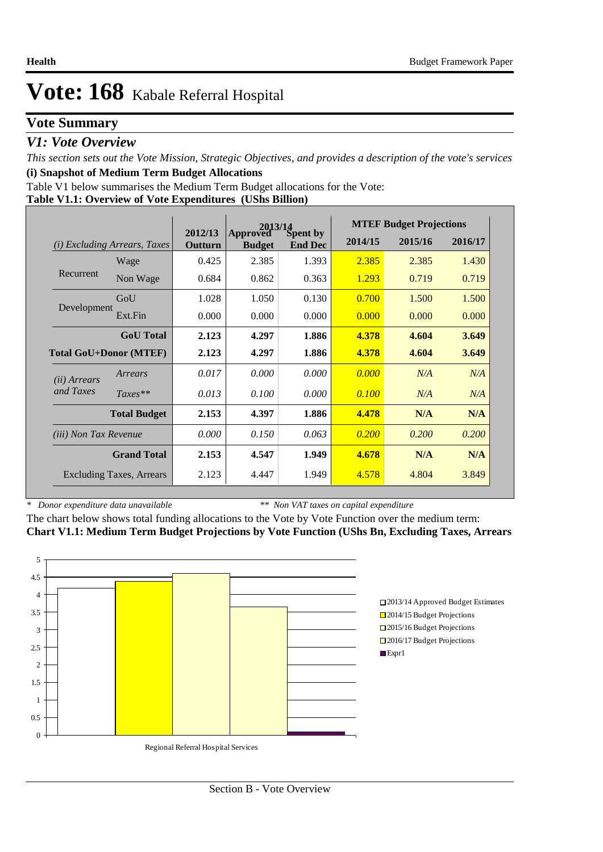### **Vote Summary**

### *V1: Vote Overview*

*This section sets out the Vote Mission, Strategic Objectives, and provides a description of the vote's services* **(i) Snapshot of Medium Term Budget Allocations** 

Table V1 below summarises the Medium Term Budget allocations for the Vote:

|  |  | Table V1.1: Overview of Vote Expenditures (UShs Billion) |
|--|--|----------------------------------------------------------|
|  |  |                                                          |

|                              |                                 |                    | 2013/14                   |                            |         | <b>MTEF Budget Projections</b> |         |
|------------------------------|---------------------------------|--------------------|---------------------------|----------------------------|---------|--------------------------------|---------|
| (i)                          | <b>Excluding Arrears, Taxes</b> | 2012/13<br>Outturn | Approved<br><b>Budget</b> | Spent by<br><b>End Dec</b> | 2014/15 | 2015/16                        | 2016/17 |
|                              | Wage                            | 0.425              | 2.385                     | 1.393                      | 2.385   | 2.385                          | 1.430   |
| Recurrent                    | Non Wage                        | 0.684              | 0.862                     | 0.363                      | 1.293   | 0.719                          | 0.719   |
|                              | GoU                             | 1.028              | 1.050                     | 0.130                      | 0.700   | 1.500                          | 1.500   |
| Development                  | Ext.Fin                         | 0.000              | 0.000                     | 0.000                      | 0.000   | 0.000                          | 0.000   |
|                              | <b>GoU</b> Total                | 2.123              | 4.297                     | 1.886                      | 4.378   | 4.604                          | 3.649   |
|                              | <b>Total GoU+Donor (MTEF)</b>   | 2.123              | 4.297                     | 1.886                      | 4.378   | 4.604                          | 3.649   |
| ( <i>ii</i> ) Arrears        | Arrears                         | 0.017              | 0.000                     | 0.000                      | 0.000   | N/A                            | N/A     |
| and Taxes                    | $Taxes**$                       | 0.013              | 0.100                     | 0.000                      | 0.100   | N/A                            | N/A     |
|                              | <b>Total Budget</b>             | 2.153              | 4.397                     | 1.886                      | 4.478   | N/A                            | N/A     |
| <i>(iii)</i> Non Tax Revenue |                                 | 0.000              | 0.150                     | 0.063                      | 0.200   | 0.200                          | 0.200   |
|                              | <b>Grand Total</b>              | 2.153              | 4.547                     | 1.949                      | 4.678   | N/A                            | N/A     |
|                              | <b>Excluding Taxes, Arrears</b> | 2.123              | 4.447                     | 1.949                      | 4.578   | 4.804                          | 3.849   |

*\* Donor expenditure data unavailable*

*\*\* Non VAT taxes on capital expenditure*

The chart below shows total funding allocations to the Vote by Vote Function over the medium term: **Chart V1.1: Medium Term Budget Projections by Vote Function (UShs Bn, Excluding Taxes, Arrears**

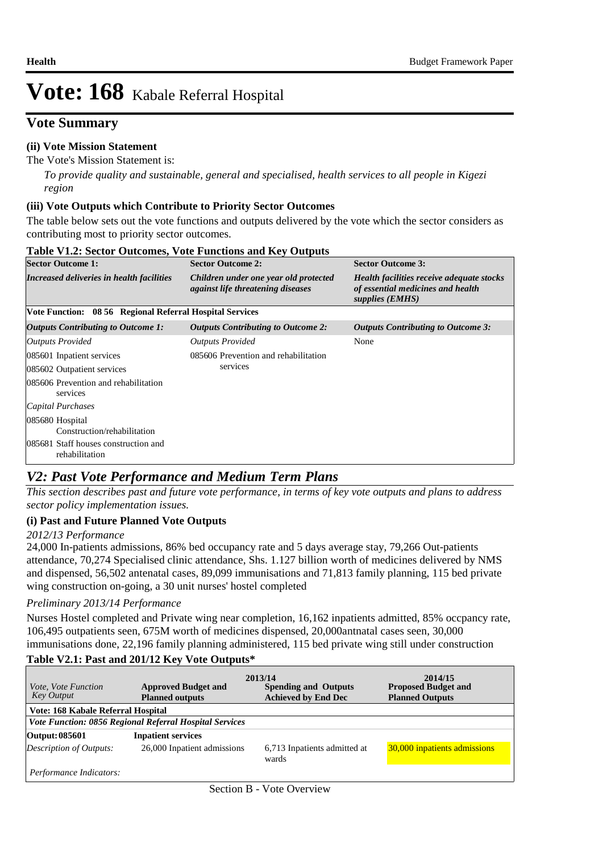### **Vote Summary**

#### **(ii) Vote Mission Statement**

#### The Vote's Mission Statement is:

*To provide quality and sustainable, general and specialised, health services to all people in Kigezi region*

#### **(iii) Vote Outputs which Contribute to Priority Sector Outcomes**

The table below sets out the vote functions and outputs delivered by the vote which the sector considers as contributing most to priority sector outcomes.

| <b>Sector Outcome 1:</b>                                 | <b>Sector Outcome 2:</b>                                                          | <b>Sector Outcome 3:</b>                                                                          |
|----------------------------------------------------------|-----------------------------------------------------------------------------------|---------------------------------------------------------------------------------------------------|
| Increased deliveries in health facilities                | Children under one year old protected<br><i>against life threatening diseases</i> | Health facilities receive adequate stocks<br>of essential medicines and health<br>supplies (EMHS) |
| Vote Function: 08 56 Regional Referral Hospital Services |                                                                                   |                                                                                                   |
| <b>Outputs Contributing to Outcome 1:</b>                | <b>Outputs Contributing to Outcome 2:</b>                                         | <b>Outputs Contributing to Outcome 3:</b>                                                         |
| Outputs Provided                                         | <b>Outputs Provided</b>                                                           | None                                                                                              |
| 085601 Inpatient services                                | 085606 Prevention and rehabilitation                                              |                                                                                                   |
| 085602 Outpatient services                               | services                                                                          |                                                                                                   |
| 085606 Prevention and rehabilitation<br>services         |                                                                                   |                                                                                                   |
| Capital Purchases                                        |                                                                                   |                                                                                                   |
| 085680 Hospital<br>Construction/rehabilitation           |                                                                                   |                                                                                                   |
| 085681 Staff houses construction and<br>rehabilitation   |                                                                                   |                                                                                                   |

#### **Table V1.2: Sector Outcomes, Vote Functions and Key Outputs**

### *V2: Past Vote Performance and Medium Term Plans*

*This section describes past and future vote performance, in terms of key vote outputs and plans to address sector policy implementation issues.* 

#### **(i) Past and Future Planned Vote Outputs**

#### *2012/13 Performance*

24,000 In-patients admissions, 86% bed occupancy rate and 5 days average stay, 79,266 Out-patients attendance, 70,274 Specialised clinic attendance, Shs. 1.127 billion worth of medicines delivered by NMS and dispensed, 56,502 antenatal cases, 89,099 immunisations and 71,813 family planning, 115 bed private wing construction on-going, a 30 unit nurses' hostel completed

#### *Preliminary 2013/14 Performance*

Nurses Hostel completed and Private wing near completion, 16,162 inpatients admitted, 85% occpancy rate, 106,495 outpatients seen, 675M worth of medicines dispensed, 20,000antnatal cases seen, 30,000 immunisations done, 22,196 family planning administered, 115 bed private wing still under construction

#### **Table V2.1: Past and 201/12 Key Vote Outputs\***

| <i>Vote, Vote Function</i>         | <b>Approved Budget and</b>                              | 2013/14<br><b>Spending and Outputs</b> | 2014/15<br><b>Proposed Budget and</b> |
|------------------------------------|---------------------------------------------------------|----------------------------------------|---------------------------------------|
| <b>Key Output</b>                  | <b>Planned outputs</b>                                  | <b>Achieved by End Dec</b>             | <b>Planned Outputs</b>                |
| Vote: 168 Kabale Referral Hospital |                                                         |                                        |                                       |
|                                    | Vote Function: 0856 Regional Referral Hospital Services |                                        |                                       |
| Output: 085601                     | <b>Inpatient services</b>                               |                                        |                                       |
| Description of Outputs:            | 26,000 Inpatient admissions                             | 6,713 Inpatients admitted at<br>wards  | 30,000 inpatients admissions          |
| Performance Indicators:            |                                                         |                                        |                                       |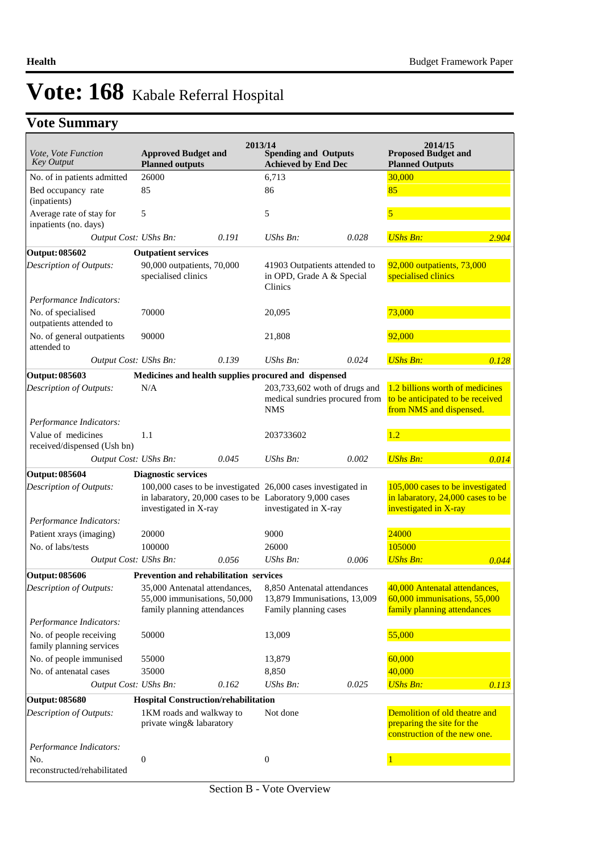# **Vote Summary**

| Vote, Vote Function<br>Key Output                   | <b>Approved Budget and</b><br><b>Planned outputs</b>        | 2013/14 | <b>Spending and Outputs</b><br><b>Achieved by End Dec</b>                                                                                          |       | 2014/15<br><b>Proposed Budget and</b><br><b>Planned Outputs</b>                                |       |
|-----------------------------------------------------|-------------------------------------------------------------|---------|----------------------------------------------------------------------------------------------------------------------------------------------------|-------|------------------------------------------------------------------------------------------------|-------|
| No. of in patients admitted                         | 26000                                                       |         | 6,713                                                                                                                                              |       | 30,000                                                                                         |       |
| Bed occupancy rate<br>(inpatients)                  | 85                                                          |         | 86                                                                                                                                                 |       | 85                                                                                             |       |
| Average rate of stay for<br>inpatients (no. days)   | 5                                                           |         | 5                                                                                                                                                  |       | 5                                                                                              |       |
| Output Cost: UShs Bn:                               |                                                             | 0.191   | UShs Bn:                                                                                                                                           | 0.028 | <b>UShs Bn:</b>                                                                                | 2.904 |
| Output: 085602                                      | <b>Outpatient services</b>                                  |         |                                                                                                                                                    |       |                                                                                                |       |
| Description of Outputs:                             | 90,000 outpatients, 70,000<br>specialised clinics           |         | 41903 Outpatients attended to<br>in OPD, Grade A & Special<br><b>Clinics</b>                                                                       |       | 92,000 outpatients, 73,000<br>specialised clinics                                              |       |
| Performance Indicators:                             |                                                             |         |                                                                                                                                                    |       |                                                                                                |       |
| No. of specialised<br>outpatients attended to       | 70000                                                       |         | 20,095                                                                                                                                             |       | 73,000                                                                                         |       |
| No. of general outpatients<br>attended to           | 90000                                                       |         | 21,808                                                                                                                                             |       | 92,000                                                                                         |       |
| Output Cost: UShs Bn:                               |                                                             | 0.139   | $UShs Bn$ :                                                                                                                                        | 0.024 | <b>UShs Bn:</b>                                                                                | 0.128 |
| Output: 085603                                      |                                                             |         | Medicines and health supplies procured and dispensed                                                                                               |       |                                                                                                |       |
| Description of Outputs:                             | N/A                                                         |         | 203,733,602 woth of drugs and<br>medical sundries procured from<br><b>NMS</b>                                                                      |       | 1.2 billions worth of medicines<br>to be anticipated to be received<br>from NMS and dispensed. |       |
| Performance Indicators:                             |                                                             |         |                                                                                                                                                    |       |                                                                                                |       |
| Value of medicines<br>received/dispensed (Ush bn)   | 1.1                                                         |         | 203733602                                                                                                                                          |       | 1.2                                                                                            |       |
| Output Cost: UShs Bn:                               |                                                             | 0.045   | UShs Bn:                                                                                                                                           | 0.002 | <b>UShs Bn:</b>                                                                                | 0.014 |
| Output: 085604                                      | <b>Diagnostic services</b>                                  |         |                                                                                                                                                    |       |                                                                                                |       |
| <b>Description of Outputs:</b>                      | investigated in X-ray                                       |         | 100,000 cases to be investigated 26,000 cases investigated in<br>in labaratory, 20,000 cases to be Laboratory 9,000 cases<br>investigated in X-ray |       | 105,000 cases to be investigated<br>in labaratory, 24,000 cases to be<br>investigated in X-ray |       |
| Performance Indicators:                             |                                                             |         |                                                                                                                                                    |       |                                                                                                |       |
| Patient xrays (imaging)                             | 20000                                                       |         | 9000                                                                                                                                               |       | 24000                                                                                          |       |
| No. of labs/tests                                   | 100000                                                      |         | 26000                                                                                                                                              |       | 105000                                                                                         |       |
| Output Cost: UShs Bn:                               |                                                             | 0.056   | $UShs Bn$ :                                                                                                                                        | 0.006 | <b>UShs Bn:</b>                                                                                | 0.044 |
| Output: 085606                                      | <b>Prevention and rehabilitation services</b>               |         |                                                                                                                                                    |       |                                                                                                |       |
| Description of Outputs:                             | 55,000 immunisations, 50,000<br>family planning attendances |         | 35,000 Antenatal attendances, 8,850 Antenatal attendances<br>13,879 Immunisations, 13,009<br>Family planning cases                                 |       | 40,000 Antenatal attendances,<br>60,000 immunisations, 55,000<br>family planning attendances   |       |
| Performance Indicators:                             |                                                             |         |                                                                                                                                                    |       |                                                                                                |       |
| No. of people receiving<br>family planning services | 50000                                                       |         | 13,009                                                                                                                                             |       | 55,000                                                                                         |       |
| No. of people immunised                             | 55000                                                       |         | 13,879                                                                                                                                             |       | 60,000                                                                                         |       |
| No. of antenatal cases                              | 35000                                                       |         | 8,850                                                                                                                                              |       | 40,000                                                                                         |       |
| Output Cost: UShs Bn:                               |                                                             | 0.162   | UShs Bn:                                                                                                                                           | 0.025 | <b>UShs Bn:</b>                                                                                | 0.113 |
| Output: 085680                                      | Hospital Construction/rehabilitation                        |         |                                                                                                                                                    |       |                                                                                                |       |
| Description of Outputs:                             | 1KM roads and walkway to<br>private wing & labaratory       |         | Not done                                                                                                                                           |       | Demolition of old theatre and<br>preparing the site for the<br>construction of the new one.    |       |
| Performance Indicators:                             |                                                             |         |                                                                                                                                                    |       |                                                                                                |       |
| No.<br>reconstructed/rehabilitated                  | $\boldsymbol{0}$                                            |         | $\boldsymbol{0}$                                                                                                                                   |       |                                                                                                |       |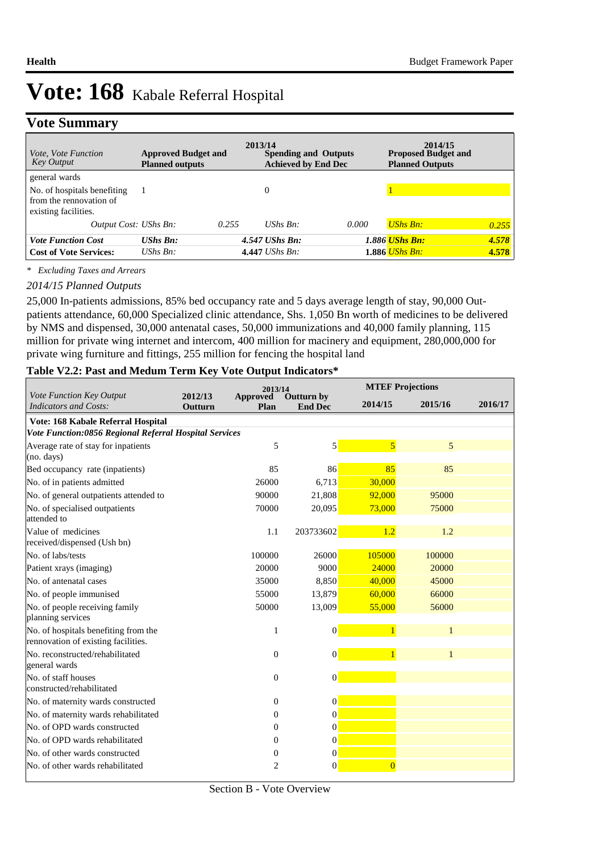# **Vote Summary**

| <i>Vote, Vote Function</i><br><b>Key Output</b>                                                 | <b>Approved Budget and</b><br><b>Planned outputs</b> | 2013/14 | <b>Spending and Outputs</b><br><b>Achieved by End Dec</b> |       | 2014/15<br><b>Proposed Budget and</b><br><b>Planned Outputs</b> |                |
|-------------------------------------------------------------------------------------------------|------------------------------------------------------|---------|-----------------------------------------------------------|-------|-----------------------------------------------------------------|----------------|
| general wards<br>No. of hospitals benefiting<br>from the rennovation of<br>existing facilities. |                                                      |         | 0                                                         |       |                                                                 |                |
| Output Cost: UShs Bn:                                                                           |                                                      | 0.255   | $UShs Bn$ :                                               | 0.000 | <b>UShs Bn:</b>                                                 | 0.255          |
| <b>Vote Function Cost</b><br><b>Cost of Vote Services:</b>                                      | $UShs$ $Bn$ :<br>$\mathit{UShs}\, \mathit{Bn}$ :     |         | $4.547$ UShs Bn:<br>$4.447$ UShs Bn:                      |       | 1.886 <mark>UShs Bn:</mark><br>1.886 UShs Bn:                   | 4.578<br>4.578 |

*\* Excluding Taxes and Arrears*

#### *2014/15 Planned Outputs*

25,000 In-patients admissions, 85% bed occupancy rate and 5 days average length of stay, 90,000 Outpatients attendance, 60,000 Specialized clinic attendance, Shs. 1,050 Bn worth of medicines to be delivered by NMS and dispensed, 30,000 antenatal cases, 50,000 immunizations and 40,000 family planning, 115 million for private wing internet and intercom, 400 million for macinery and equipment, 280,000,000 for private wing furniture and fittings, 255 million for fencing the hospital land

#### **Table V2.2: Past and Medum Term Key Vote Output Indicators\***

|                                                                             |                           | 2013/14          |                                     |                | <b>MTEF Projections</b> |         |
|-----------------------------------------------------------------------------|---------------------------|------------------|-------------------------------------|----------------|-------------------------|---------|
| Vote Function Key Output<br><b>Indicators and Costs:</b>                    | 2012/13<br><b>Outturn</b> | Approved<br>Plan | <b>Outturn by</b><br><b>End Dec</b> | 2014/15        | 2015/16                 | 2016/17 |
| Vote: 168 Kabale Referral Hospital                                          |                           |                  |                                     |                |                         |         |
| Vote Function:0856 Regional Referral Hospital Services                      |                           |                  |                                     |                |                         |         |
| Average rate of stay for inpatients<br>(no. days)                           |                           | 5                | 5                                   | $\overline{5}$ | 5                       |         |
| Bed occupancy rate (inpatients)                                             |                           | 85               | 86                                  | 85             | 85                      |         |
| No. of in patients admitted                                                 |                           | 26000            | 6,713                               | 30,000         |                         |         |
| No. of general outpatients attended to                                      |                           | 90000            | 21,808                              | 92,000         | 95000                   |         |
| No. of specialised outpatients<br>attended to                               |                           | 70000            | 20.095                              | 73,000         | 75000                   |         |
| Value of medicines<br>received/dispensed (Ush bn)                           |                           | 1.1              | 203733602                           | 1.2            | 1.2                     |         |
| No. of labs/tests                                                           |                           | 100000           | 26000                               | 105000         | 100000                  |         |
| Patient xrays (imaging)                                                     |                           | 20000            | 9000                                | 24000          | 20000                   |         |
| No. of antenatal cases                                                      |                           | 35000            | 8,850                               | 40,000         | 45000                   |         |
| No. of people immunised                                                     |                           | 55000            | 13,879                              | 60,000         | 66000                   |         |
| No. of people receiving family                                              |                           | 50000            | 13,009                              | 55,000         | 56000                   |         |
| planning services                                                           |                           |                  |                                     |                |                         |         |
| No. of hospitals benefiting from the<br>rennovation of existing facilities. |                           | 1                | $\boldsymbol{0}$                    |                |                         |         |
| No. reconstructed/rehabilitated<br>general wards                            |                           | $\overline{0}$   | $\overline{0}$                      | $\overline{1}$ | $\mathbf{1}$            |         |
| No. of staff houses<br>constructed/rehabilitated                            |                           | $\overline{0}$   | $\boldsymbol{0}$                    |                |                         |         |
| No. of maternity wards constructed                                          |                           | $\Omega$         | $\boldsymbol{0}$                    |                |                         |         |
| No. of maternity wards rehabilitated                                        |                           | $\Omega$         | $\overline{0}$                      |                |                         |         |
| No. of OPD wards constructed                                                |                           | $\overline{0}$   | $\boldsymbol{0}$                    |                |                         |         |
| No. of OPD wards rehabilitated                                              |                           | $\mathbf{0}$     | $\mathbf{0}$                        |                |                         |         |
| No. of other wards constructed                                              |                           | $\boldsymbol{0}$ | $\overline{0}$                      |                |                         |         |
| No. of other wards rehabilitated                                            |                           | $\overline{2}$   | $\theta$                            | $\overline{0}$ |                         |         |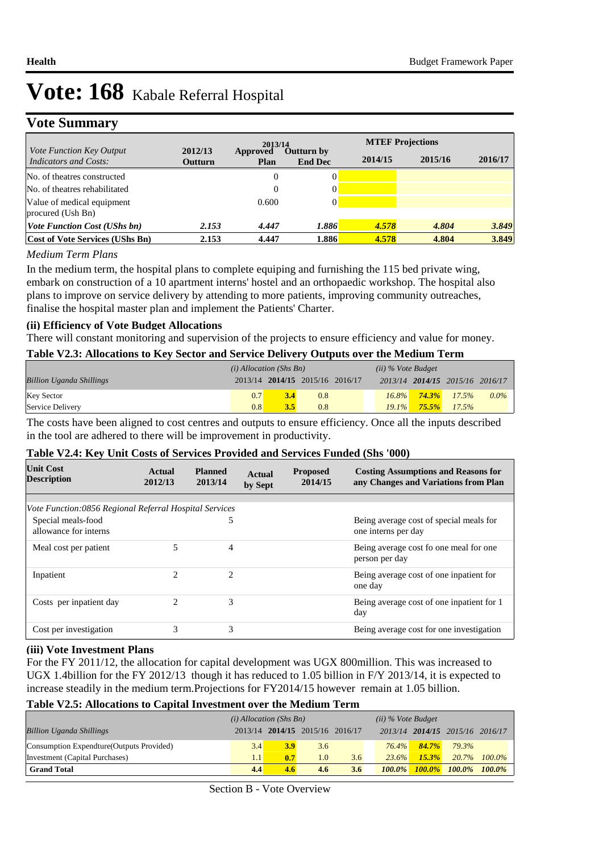### **Vote Summary**

|                                                                 |                    | 2013/14          |                              | <b>MTEF Projections</b> |         |         |
|-----------------------------------------------------------------|--------------------|------------------|------------------------------|-------------------------|---------|---------|
| <i>Vote Function Key Output</i><br><b>Indicators and Costs:</b> | 2012/13<br>Outturn | Approved<br>Plan | Outturn by<br><b>End Dec</b> | 2014/15                 | 2015/16 | 2016/17 |
| No. of theatres constructed                                     |                    | $\overline{0}$   |                              |                         |         |         |
| No. of theatres rehabilitated                                   |                    | $\overline{0}$   |                              |                         |         |         |
| Value of medical equipment<br>procured (Ush Bn)                 |                    | 0.600            | $\Omega$                     |                         |         |         |
| <b>Vote Function Cost (UShs bn)</b>                             | 2.153              | 4.447            | 1.886                        | 4.578                   | 4.804   | 3.849   |
| <b>Cost of Vote Services (UShs Bn)</b>                          | 2.153              | 4.447            | 1.886                        | 4.578                   | 4.804   | 3.849   |

#### *Medium Term Plans*

In the medium term, the hospital plans to complete equiping and furnishing the 115 bed private wing, embark on construction of a 10 apartment interns' hostel and an orthopaedic workshop. The hospital also plans to improve on service delivery by attending to more patients, improving community outreaches, finalise the hospital master plan and implement the Patients' Charter.

#### **(ii) Efficiency of Vote Budget Allocations**

There will constant monitoring and supervision of the projects to ensure efficiency and value for money.

#### **Table V2.3: Allocations to Key Sector and Service Delivery Outputs over the Medium Term**

|                                 | $(i)$ Allocation (Shs Bn) |                                 |     | $(ii)$ % Vote Budget |  |  |                                 |         |
|---------------------------------|---------------------------|---------------------------------|-----|----------------------|--|--|---------------------------------|---------|
| <b>Billion Uganda Shillings</b> |                           | 2013/14 2014/15 2015/16 2016/17 |     |                      |  |  | 2013/14 2014/15 2015/16 2016/17 |         |
| <b>Key Sector</b>               | 0.7                       |                                 | 0.8 |                      |  |  | $16.8\%$ $74.3\%$ $17.5\%$      | $0.0\%$ |
| Service Delivery                | 0.8                       | 3.5                             | 0.8 |                      |  |  | $19.1\%$ 75.5% $17.5\%$         |         |

The costs have been aligned to cost centres and outputs to ensure efficiency. Once all the inputs described in the tool are adhered to there will be improvement in productivity.

#### **Table V2.4: Key Unit Costs of Services Provided and Services Funded (Shs '000)**

| <b>Unit Cost</b><br><b>Description</b>                 | Actual<br>2012/13           | <b>Planned</b><br>2013/14 | Actual<br>by Sept | <b>Proposed</b><br>2014/15 | <b>Costing Assumptions and Reasons for</b><br>any Changes and Variations from Plan |
|--------------------------------------------------------|-----------------------------|---------------------------|-------------------|----------------------------|------------------------------------------------------------------------------------|
|                                                        |                             |                           |                   |                            |                                                                                    |
| Vote Function:0856 Regional Referral Hospital Services |                             |                           |                   |                            |                                                                                    |
| Special meals-food<br>allowance for interns            |                             | 5                         |                   |                            | Being average cost of special meals for<br>one interns per day                     |
| Meal cost per patient                                  | 5                           | 4                         |                   |                            | Being average cost fo one meal for one<br>person per day                           |
| Inpatient                                              | $\mathfrak{D}$              | $\overline{c}$            |                   |                            | Being average cost of one inpatient for<br>one day                                 |
| Costs per inpatient day                                | $\mathcal{D}_{\mathcal{L}}$ | 3                         |                   |                            | Being average cost of one inpatient for 1<br>day                                   |
| Cost per investigation                                 | 3                           | 3                         |                   |                            | Being average cost for one investigation                                           |

#### **(iii) Vote Investment Plans**

For the FY 2011/12, the allocation for capital development was UGX 800million. This was increased to UGX 1.4billion for the FY 2012/13 though it has reduced to 1.05 billion in F/Y 2013/14, it is expected to increase steadily in the medium term.Projections for FY2014/15 however remain at 1.05 billion.

#### **Table V2.5: Allocations to Capital Investment over the Medium Term**

|                                           | $(i)$ Allocation (Shs Bn) |     |                                 | $(ii)$ % Vote Budget |           |          |                                 |              |
|-------------------------------------------|---------------------------|-----|---------------------------------|----------------------|-----------|----------|---------------------------------|--------------|
| <b>Billion Uganda Shillings</b>           |                           |     | 2013/14 2014/15 2015/16 2016/17 |                      |           |          | 2013/14 2014/15 2015/16 2016/17 |              |
| Consumption Expendture (Outputs Provided) | 3.4                       | 3.9 | 3.6                             |                      | $76.4\%$  | $84.7\%$ | 79.3%                           |              |
| Investment (Capital Purchases)            | 1.11                      | 0.7 | 1.0                             | 3.6                  | 23.6%     | 15.3%    |                                 | 20.7% 100.0% |
| <b>Grand Total</b>                        | 4.4                       | 4.6 | 4.6                             | 3.6                  | $100.0\%$ |          | 100.0% 100.0% 100.0%            |              |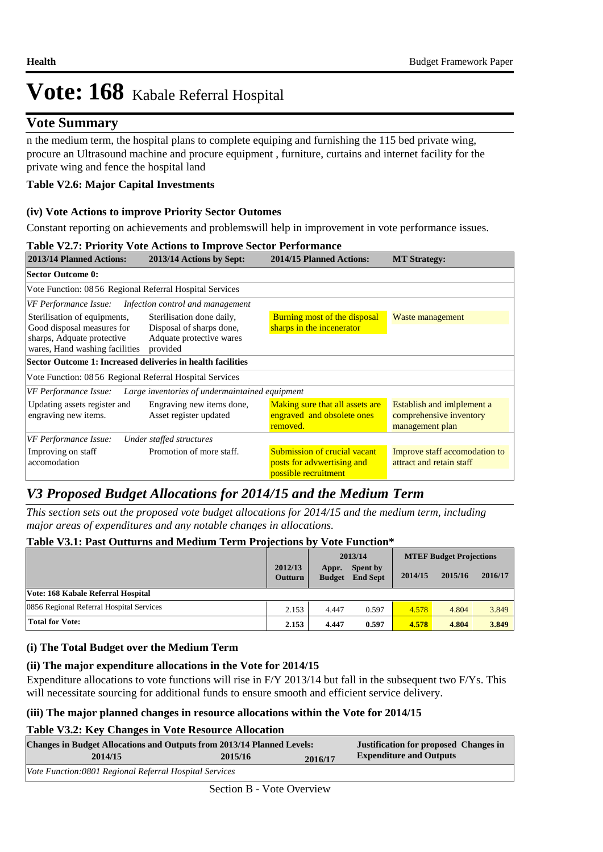### **Vote Summary**

n the medium term, the hospital plans to complete equiping and furnishing the 115 bed private wing, procure an Ultrasound machine and procure equipment , furniture, curtains and internet facility for the private wing and fence the hospital land

#### **Table V2.6: Major Capital Investments**

#### **(iv) Vote Actions to improve Priority Sector Outomes**

Constant reporting on achievements and problemswill help in improvement in vote performance issues.

|                                                                                                                            | <b>Table V2.7: Priority Vote Actions to Improve Sector Performance</b>                        |                                                                                    |                                                                          |
|----------------------------------------------------------------------------------------------------------------------------|-----------------------------------------------------------------------------------------------|------------------------------------------------------------------------------------|--------------------------------------------------------------------------|
| 2013/14 Planned Actions:                                                                                                   | 2013/14 Actions by Sept:                                                                      | 2014/15 Planned Actions:                                                           | <b>MT Strategy:</b>                                                      |
| <b>Sector Outcome 0:</b>                                                                                                   |                                                                                               |                                                                                    |                                                                          |
| Vote Function: 08 56 Regional Referral Hospital Services                                                                   |                                                                                               |                                                                                    |                                                                          |
| VF Performance Issue:                                                                                                      | Infection control and management                                                              |                                                                                    |                                                                          |
| Sterilisation of equipments,<br>Good disposal measures for<br>sharps, Adquate protective<br>wares, Hand washing facilities | Sterilisation done daily,<br>Disposal of sharps done,<br>Adquate protective wares<br>provided | Burning most of the disposal<br>sharps in the incenerator                          | Waste management                                                         |
| Sector Outcome 1: Increased deliveries in health facilities                                                                |                                                                                               |                                                                                    |                                                                          |
| Vote Function: 08 56 Regional Referral Hospital Services                                                                   |                                                                                               |                                                                                    |                                                                          |
| VF Performance Issue:                                                                                                      | Large inventories of undermaintained equipment                                                |                                                                                    |                                                                          |
| Updating assets register and<br>engraving new items.                                                                       | Engraving new items done,<br>Asset register updated                                           | Making sure that all assets are<br>engraved and obsolete ones<br>removed.          | Establish and imlplement a<br>comprehensive inventory<br>management plan |
| VF Performance Issue:                                                                                                      | Under staffed structures                                                                      |                                                                                    |                                                                          |
| Improving on staff<br>accomodation                                                                                         | Promotion of more staff.                                                                      | Submission of crucial vacant<br>posts for advwertising and<br>possible recruitment | Improve staff accomodation to<br>attract and retain staff                |

## *V3 Proposed Budget Allocations for 2014/15 and the Medium Term*

*This section sets out the proposed vote budget allocations for 2014/15 and the medium term, including major areas of expenditures and any notable changes in allocations.* 

#### **Table V3.1: Past Outturns and Medium Term Projections by Vote Function\***

|                                          |                           | 2013/14                |                             | <b>MTEF Budget Projections</b> |         |         |
|------------------------------------------|---------------------------|------------------------|-----------------------------|--------------------------------|---------|---------|
|                                          | 2012/13<br><b>Outturn</b> | Appr.<br><b>Budget</b> | Spent by<br><b>End Sept</b> | 2014/15                        | 2015/16 | 2016/17 |
| Vote: 168 Kabale Referral Hospital       |                           |                        |                             |                                |         |         |
| 0856 Regional Referral Hospital Services | 2.153                     | 4.447                  | 0.597                       | 4.578                          | 4.804   | 3.849   |
| <b>Total for Vote:</b>                   | 2.153                     | 4.447                  | 0.597                       | 4.578                          | 4.804   | 3.849   |

#### **(i) The Total Budget over the Medium Term**

#### **(ii) The major expenditure allocations in the Vote for 2014/15**

Expenditure allocations to vote functions will rise in F/Y 2013/14 but fall in the subsequent two F/Ys. This will necessitate sourcing for additional funds to ensure smooth and efficient service delivery.

#### **(iii) The major planned changes in resource allocations within the Vote for 2014/15**

#### **Table V3.2: Key Changes in Vote Resource Allocation**

| <b>Changes in Budget Allocations and Outputs from 2013/14 Planned Levels:</b> | <b>Justification for proposed Changes in</b> |         |                                |  |  |
|-------------------------------------------------------------------------------|----------------------------------------------|---------|--------------------------------|--|--|
| 2014/15                                                                       | 2015/16                                      | 2016/17 | <b>Expenditure and Outputs</b> |  |  |
| Vote Function:0801 Regional Referral Hospital Services                        |                                              |         |                                |  |  |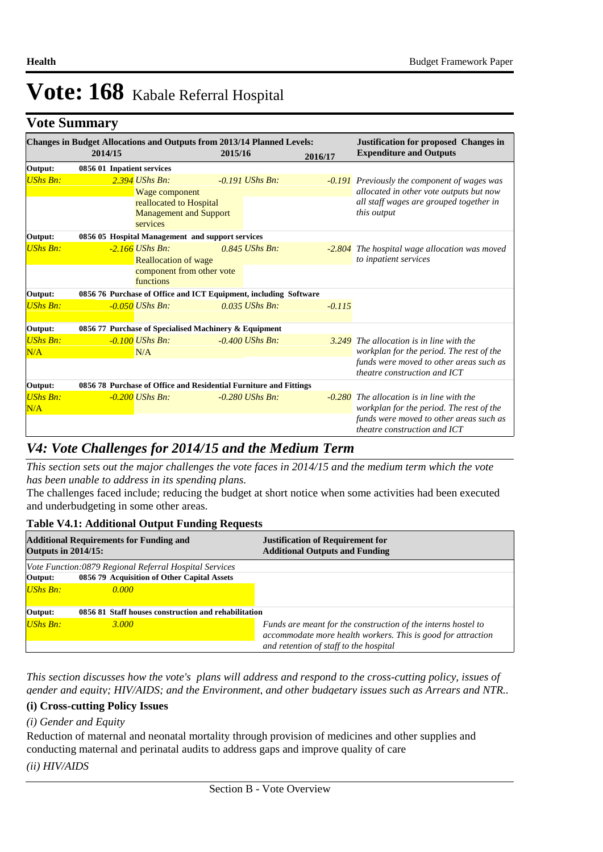# **Vote Summary**

|                        | 2014/15                                                           | <b>Changes in Budget Allocations and Outputs from 2013/14 Planned Levels:</b> | 2015/16 |                   | 2016/17                                                                                                                            | <b>Justification for proposed Changes in</b><br><b>Expenditure and Outputs</b>       |  |  |
|------------------------|-------------------------------------------------------------------|-------------------------------------------------------------------------------|---------|-------------------|------------------------------------------------------------------------------------------------------------------------------------|--------------------------------------------------------------------------------------|--|--|
| Output:                | 0856 01 Inpatient services                                        |                                                                               |         |                   |                                                                                                                                    |                                                                                      |  |  |
| <b>UShs Bn:</b>        |                                                                   | $2.394$ UShs Bn:<br>Wage component<br>reallocated to Hospital                 |         | $-0.191$ UShs Bn: | -0.191 Previously the component of wages was<br>allocated in other vote outputs but now<br>all staff wages are grouped together in |                                                                                      |  |  |
|                        |                                                                   | <b>Management and Support</b><br>services                                     |         |                   |                                                                                                                                    | this output                                                                          |  |  |
| Output:                | 0856 05 Hospital Management and support services                  |                                                                               |         |                   |                                                                                                                                    |                                                                                      |  |  |
| <b>UShs Bn:</b>        |                                                                   | $-2.166$ UShs Bn:<br><b>Reallocation of wage</b>                              |         | $0.845$ UShs Bn:  |                                                                                                                                    | -2.804 The hospital wage allocation was moved<br>to inpatient services               |  |  |
|                        |                                                                   | component from other vote<br>functions                                        |         |                   |                                                                                                                                    |                                                                                      |  |  |
| Output:                |                                                                   | 0856 76 Purchase of Office and ICT Equipment, including Software              |         |                   |                                                                                                                                    |                                                                                      |  |  |
| <b>UShs Bn:</b>        |                                                                   | $-0.050$ UShs Bn:                                                             |         | $0.035$ UShs Bn:  | $-0.115$                                                                                                                           |                                                                                      |  |  |
| Output:                |                                                                   | 0856 77 Purchase of Specialised Machinery & Equipment                         |         |                   |                                                                                                                                    |                                                                                      |  |  |
| <b>UShs Bn:</b><br>N/A |                                                                   | $-0.100$ UShs Bn:<br>N/A                                                      |         | $-0.400$ UShs Bn: |                                                                                                                                    | 3.249 The allocation is in line with the<br>workplan for the period. The rest of the |  |  |
|                        |                                                                   |                                                                               |         |                   |                                                                                                                                    | funds were moved to other areas such as<br>theatre construction and ICT              |  |  |
| Output:                | 0856 78 Purchase of Office and Residential Furniture and Fittings |                                                                               |         |                   |                                                                                                                                    |                                                                                      |  |  |
| <b>UShs Bn:</b><br>N/A |                                                                   | $-0.200$ UShs Bn:                                                             |         | $-0.280$ UShs Bn: | $-0.280$ The allocation is in line with the                                                                                        | workplan for the period. The rest of the<br>funds were moved to other areas such as  |  |  |
|                        |                                                                   |                                                                               |         |                   |                                                                                                                                    | theatre construction and ICT                                                         |  |  |

## *V4: Vote Challenges for 2014/15 and the Medium Term*

*This section sets out the major challenges the vote faces in 2014/15 and the medium term which the vote has been unable to address in its spending plans.*

The challenges faced include; reducing the budget at short notice when some activities had been executed and underbudgeting in some other areas.

#### **Table V4.1: Additional Output Funding Requests**

| <b>Outputs in 2014/15:</b> | <b>Additional Requirements for Funding and</b>         | <b>Justification of Requirement for</b><br><b>Additional Outputs and Funding</b> |
|----------------------------|--------------------------------------------------------|----------------------------------------------------------------------------------|
|                            | Vote Function:0879 Regional Referral Hospital Services |                                                                                  |
| Output:                    | 0856 79 Acquisition of Other Capital Assets            |                                                                                  |
| UShs Bn:                   | 0.000                                                  |                                                                                  |
| Output:                    | 0856 81 Staff houses construction and rehabilitation   |                                                                                  |
|                            |                                                        |                                                                                  |
| $UShs Bn:$                 | 3.000                                                  | Funds are meant for the construction of the interns hostel to                    |
|                            |                                                        | accommodate more health workers. This is good for attraction                     |
|                            |                                                        | and retention of staff to the hospital                                           |

*This section discusses how the vote's plans will address and respond to the cross-cutting policy, issues of gender and equity; HIV/AIDS; and the Environment, and other budgetary issues such as Arrears and NTR..* 

#### **(i) Cross-cutting Policy Issues**

*(i) Gender and Equity*

Reduction of maternal and neonatal mortality through provision of medicines and other supplies and conducting maternal and perinatal audits to address gaps and improve quality of care *(ii) HIV/AIDS*